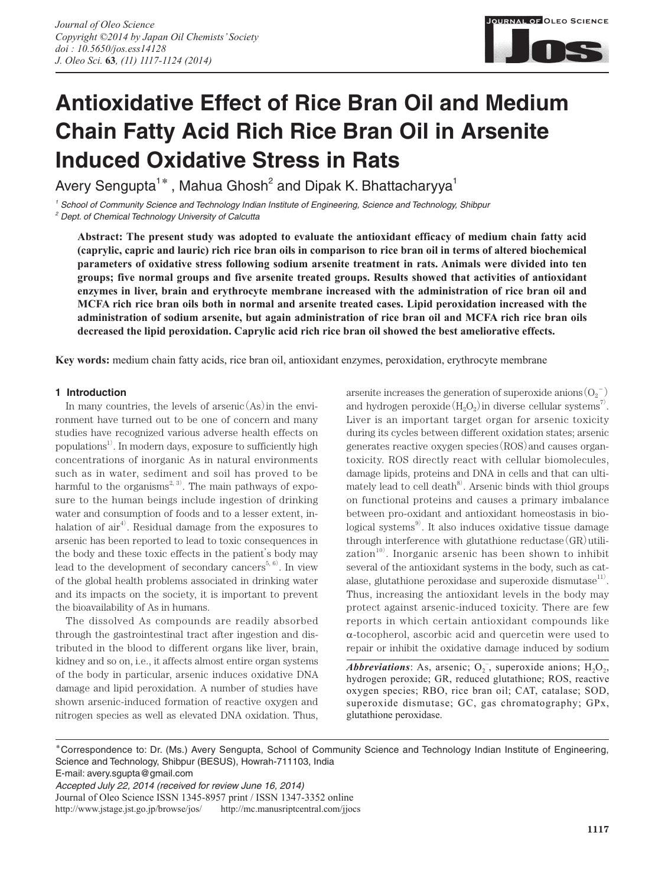

# **Antioxidative Effect of Rice Bran Oil and Medium Chain Fatty Acid Rich Rice Bran Oil in Arsenite Induced Oxidative Stress in Rats**

Avery Sengupta<sup>1\*</sup>, Mahua Ghosh<sup>2</sup> and Dipak K. Bhattacharyya<sup>1</sup>

<sup>1</sup> School of Community Science and Technology Indian Institute of Engineering, Science and Technology, Shibpur *2 Dept. of Chemical Technology University of Calcutta*

**Abstract: The present study was adopted to evaluate the antioxidant efficacy of medium chain fatty acid (caprylic, capric and lauric) rich rice bran oils in comparison to rice bran oil in terms of altered biochemical parameters of oxidative stress following sodium arsenite treatment in rats. Animals were divided into ten groups; five normal groups and five arsenite treated groups. Results showed that activities of antioxidant enzymes in liver, brain and erythrocyte membrane increased with the administration of rice bran oil and MCFA rich rice bran oils both in normal and arsenite treated cases. Lipid peroxidation increased with the administration of sodium arsenite, but again administration of rice bran oil and MCFA rich rice bran oils decreased the lipid peroxidation. Caprylic acid rich rice bran oil showed the best ameliorative effects.**

**Key words:** medium chain fatty acids, rice bran oil, antioxidant enzymes, peroxidation, erythrocyte membrane

# **1 Introduction**

In many countries, the levels of arsenic $(As)$  in the environment have turned out to be one of concern and many studies have recognized various adverse health effects on populations<sup>1)</sup>. In modern days, exposure to sufficiently high concentrations of inorganic As in natural environments such as in water, sediment and soil has proved to be harmful to the organisms $^{2, 3)}$ . The main pathways of exposure to the human beings include ingestion of drinking water and consumption of foods and to a lesser extent, inhalation of  $\text{air}^{4}$ . Residual damage from the exposures to arsenic has been reported to lead to toxic consequences in the body and these toxic effects in the patient's body may lead to the development of secondary cancers<sup>5, 6)</sup>. In view of the global health problems associated in drinking water and its impacts on the society, it is important to prevent the bioavailability of As in humans.

The dissolved As compounds are readily absorbed through the gastrointestinal tract after ingestion and distributed in the blood to different organs like liver, brain, kidney and so on, i.e., it affects almost entire organ systems of the body in particular, arsenic induces oxidative DNA damage and lipid peroxidation. A number of studies have shown arsenic-induced formation of reactive oxygen and nitrogen species as well as elevated DNA oxidation. Thus,

arsenite increases the generation of superoxide anions  $\mathrm{(O_2}^-)$ and hydrogen peroxide  $(H_2O_2)$  in diverse cellular systems<sup>7</sup>. Liver is an important target organ for arsenic toxicity during its cycles between different oxidation states; arsenic generates reactive oxygen species(ROS)and causes organtoxicity. ROS directly react with cellular biomolecules, damage lipids, proteins and DNA in cells and that can ultimately lead to cell death<sup>8</sup>. Arsenic binds with thiol groups on functional proteins and causes a primary imbalance between pro-oxidant and antioxidant homeostasis in biological systems<sup>9)</sup>. It also induces oxidative tissue damage through interference with glutathione reductase $(GR)$ utilization $10$ <sup>0</sup>. Inorganic arsenic has been shown to inhibit several of the antioxidant systems in the body, such as catalase, glutathione peroxidase and superoxide dismutase $^{11}$ . Thus, increasing the antioxidant levels in the body may protect against arsenic-induced toxicity. There are few reports in which certain antioxidant compounds like α-tocopherol, ascorbic acid and quercetin were used to repair or inhibit the oxidative damage induced by sodium

*Abbreviations*: As, arsenic;  $O_2^-$ , superoxide anions;  $H_2O_2$ , hydrogen peroxide; GR, reduced glutathione; ROS, reactive oxygen species; RBO, rice bran oil; CAT, catalase; SOD, superoxide dismutase; GC, gas chromatography; GPx, glutathione peroxidase.

**\***Correspondence to: Dr. (Ms.) Avery Sengupta, School of Community Science and Technology Indian Institute of Engineering, Science and Technology, Shibpur (BESUS), Howrah-711103, India

E-mail: avery.sgupta@gmail.com

*Accepted July 22, 2014 (received for review June 16, 2014)* Journal of Oleo Science ISSN 1345-8957 print / ISSN 1347-3352 online http://www.jstage.jst.go.jp/browse/jos/ http://mc.manusriptcentral.com/jjocs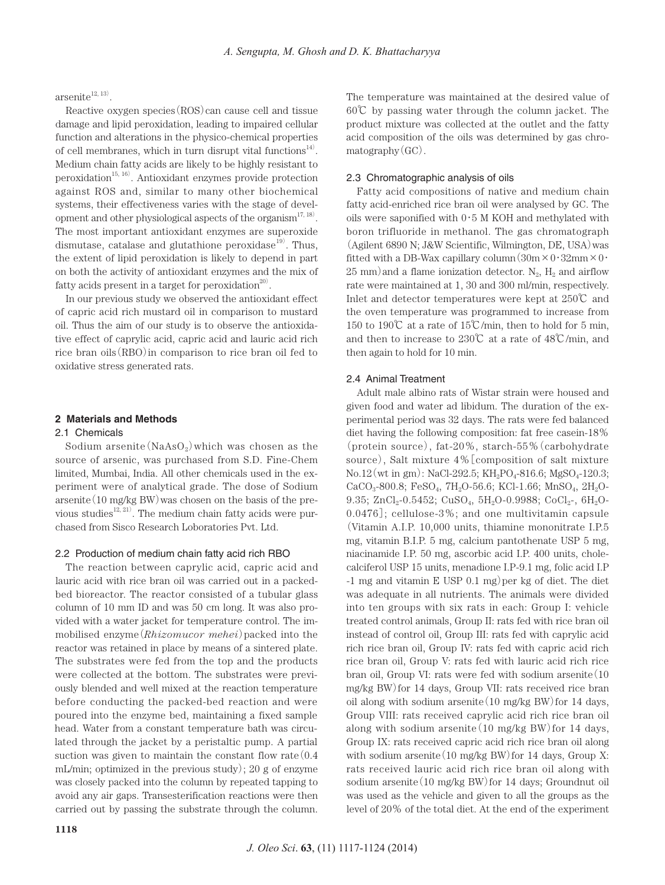$\arcsenite^{12, 13)}$ .

Reactive oxygen species $(ROS)$ can cause cell and tissue damage and lipid peroxidation, leading to impaired cellular function and alterations in the physico-chemical properties of cell membranes, which in turn disrupt vital functions $^{14}$ . Medium chain fatty acids are likely to be highly resistant to peroxidation<sup>15, 16</sup>. Antioxidant enzymes provide protection against ROS and, similar to many other biochemical systems, their effectiveness varies with the stage of development and other physiological aspects of the organism<sup>17, 18)</sup>. The most important antioxidant enzymes are superoxide dismutase, catalase and glutathione peroxidase $^{19)}$ . Thus, the extent of lipid peroxidation is likely to depend in part on both the activity of antioxidant enzymes and the mix of fatty acids present in a target for peroxidation $^{20}$ .

In our previous study we observed the antioxidant effect of capric acid rich mustard oil in comparison to mustard oil. Thus the aim of our study is to observe the antioxidative effect of caprylic acid, capric acid and lauric acid rich rice bran oils(RBO)in comparison to rice bran oil fed to oxidative stress generated rats.

# **2 Materials and Methods**

# 2.1 Chemicals

Sodium arsenite (NaAsO<sub>2</sub>) which was chosen as the source of arsenic, was purchased from S.D. Fine-Chem limited, Mumbai, India. All other chemicals used in the experiment were of analytical grade. The dose of Sodium arsenite $(10 \text{ mg/kg BW})$  was chosen on the basis of the previous studies $^{12, 21)}$ . The medium chain fatty acids were purchased from Sisco Research Loboratories Pvt. Ltd.

#### 2.2 Production of medium chain fatty acid rich RBO

The reaction between caprylic acid, capric acid and lauric acid with rice bran oil was carried out in a packedbed bioreactor. The reactor consisted of a tubular glass column of 10 mm ID and was 50 cm long. It was also provided with a water jacket for temperature control. The immobilised enzyme(*Rhizomucor mehei*)packed into the reactor was retained in place by means of a sintered plate. The substrates were fed from the top and the products were collected at the bottom. The substrates were previously blended and well mixed at the reaction temperature before conducting the packed-bed reaction and were poured into the enzyme bed, maintaining a fixed sample head. Water from a constant temperature bath was circulated through the jacket by a peristaltic pump. A partial suction was given to maintain the constant flow rate  $(0.4)$ mL/min; optimized in the previous study); 20 g of enzyme was closely packed into the column by repeated tapping to avoid any air gaps. Transesterification reactions were then carried out by passing the substrate through the column. The temperature was maintained at the desired value of 60℃ by passing water through the column jacket. The product mixture was collected at the outlet and the fatty acid composition of the oils was determined by gas chro $matography(GC)$ .

# 2.3 Chromatographic analysis of oils

Fatty acid compositions of native and medium chain fatty acid-enriched rice bran oil were analysed by GC. The oils were saponified with  $0.5$  M KOH and methylated with boron trifluoride in methanol. The gas chromatograph (Agilent 6890 N; J&W Scientific, Wilmington, DE, USA)was fitted with a DB-Wax capillary column  $(30m \times 0.32mm \times 0.5m)$  $25 \text{ mm}$ ) and a flame ionization detector. N<sub>2</sub>, H<sub>2</sub> and airflow rate were maintained at 1, 30 and 300 ml/min, respectively. Inlet and detector temperatures were kept at 250℃ and the oven temperature was programmed to increase from 150 to 190℃ at a rate of 15℃/min, then to hold for 5 min, and then to increase to 230℃ at a rate of 48℃/min, and then again to hold for 10 min.

#### 2.4 Animal Treatment

Adult male albino rats of Wistar strain were housed and given food and water ad libidum. The duration of the experimental period was 32 days. The rats were fed balanced diet having the following composition: fat free casein-18% (protein source), fat-20%, starch-55%(carbohydrate source), Salt mixture 4%[composition of salt mixture No.12(wt in gm): NaCl-292.5; KH<sub>2</sub>PO<sub>4</sub>-816.6; MgSO<sub>4</sub>-120.3;  $CaCO<sub>3</sub>$ -800.8; FeSO<sub>4</sub>, 7H<sub>2</sub>O-56.6; KCl-1.66; MnSO<sub>4</sub>, 2H<sub>2</sub>O-9.35; ZnCl<sub>2</sub>-0.5452; CuSO<sub>4</sub>, 5H<sub>2</sub>O-0.9988; CoCl<sub>2</sub>-, 6H<sub>2</sub>O-0.0476]; cellulose-3%; and one multivitamin capsule (Vitamin A.I.P. 10,000 units, thiamine mononitrate I.P.5 mg, vitamin B.I.P. 5 mg, calcium pantothenate USP 5 mg, niacinamide I.P. 50 mg, ascorbic acid I.P. 400 units, cholecalciferol USP 15 units, menadione I.P-9.1 mg, folic acid I.P  $-1$  mg and vitamin E USP 0.1 mg) per kg of diet. The diet was adequate in all nutrients. The animals were divided into ten groups with six rats in each: Group I: vehicle treated control animals, Group II: rats fed with rice bran oil instead of control oil, Group III: rats fed with caprylic acid rich rice bran oil, Group IV: rats fed with capric acid rich rice bran oil, Group V: rats fed with lauric acid rich rice bran oil, Group VI: rats were fed with sodium arsenite $(10$ mg/kg BW)for 14 days, Group VII: rats received rice bran oil along with sodium arsenite  $(10 \text{ mg/kg BW})$  for 14 days, Group VIII: rats received caprylic acid rich rice bran oil along with sodium arsenite(10 mg/kg BW)for 14 days, Group IX: rats received capric acid rich rice bran oil along with sodium arsenite  $(10 \text{ mg/kg BW})$  for 14 days, Group X: rats received lauric acid rich rice bran oil along with sodium arsenite $(10 \text{ mg/kg BW})$  for 14 days; Groundnut oil was used as the vehicle and given to all the groups as the level of 20% of the total diet. At the end of the experiment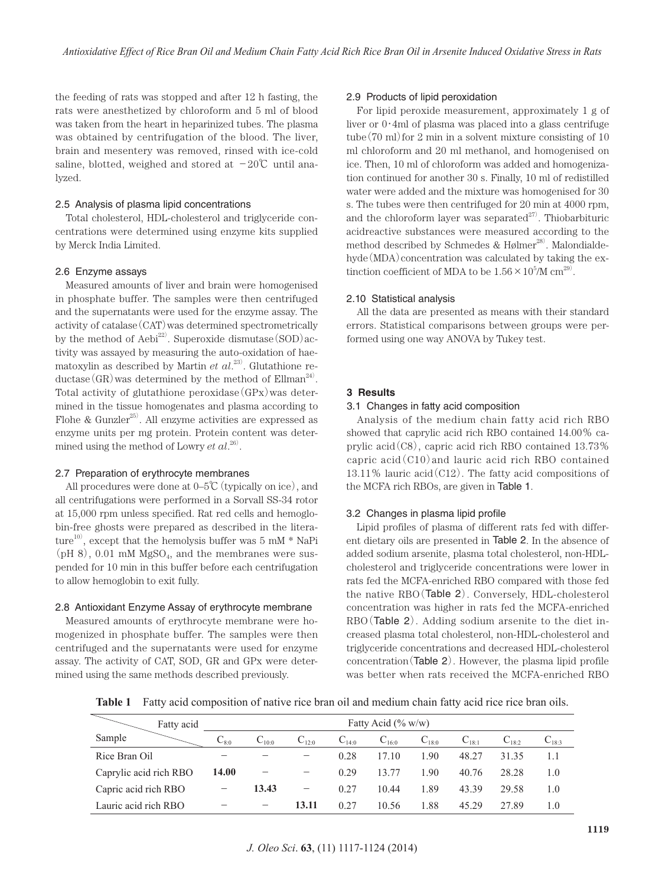the feeding of rats was stopped and after 12 h fasting, the rats were anesthetized by chloroform and 5 ml of blood was taken from the heart in heparinized tubes. The plasma was obtained by centrifugation of the blood. The liver, brain and mesentery was removed, rinsed with ice-cold saline, blotted, weighed and stored at  $-20^{\circ}$  until analyzed.

#### 2.5 Analysis of plasma lipid concentrations

Total cholesterol, HDL-cholesterol and triglyceride concentrations were determined using enzyme kits supplied by Merck India Limited.

## 2.6 Enzyme assays

Measured amounts of liver and brain were homogenised in phosphate buffer. The samples were then centrifuged and the supernatants were used for the enzyme assay. The activity of catalase(CAT)was determined spectrometrically by the method of Aebi<sup>22)</sup>. Superoxide dismutase  $(SOD)$  activity was assayed by measuring the auto-oxidation of haematoxylin as described by Martin *et al*. 23) . Glutathione reductase  $(GR)$  was determined by the method of Ellman<sup>24)</sup>. Total activity of glutathione peroxidase  $(GPx)$  was determined in the tissue homogenates and plasma according to Flohe & Gunzler<sup>25)</sup>. All enzyme activities are expressed as enzyme units per mg protein. Protein content was determined using the method of Lowry *et al*. 26) .

#### 2.7 Preparation of erythrocyte membranes

All procedures were done at  $0-5\degree$  (typically on ice), and all centrifugations were performed in a Sorvall SS-34 rotor at 15,000 rpm unless specified. Rat red cells and hemoglobin-free ghosts were prepared as described in the litera- $\textrm{ture}^{10)}$ , except that the hemolysis buffer was 5 mM  $^*$  NaPi  $(pH 8)$ , 0.01 mM MgSO<sub>4</sub>, and the membranes were suspended for 10 min in this buffer before each centrifugation to allow hemoglobin to exit fully.

## 2.8 Antioxidant Enzyme Assay of erythrocyte membrane

Measured amounts of erythrocyte membrane were homogenized in phosphate buffer. The samples were then centrifuged and the supernatants were used for enzyme assay. The activity of CAT, SOD, GR and GPx were determined using the same methods described previously.

#### 2.9 Products of lipid peroxidation

For lipid peroxide measurement, approximately 1 g of liver or 0・4ml of plasma was placed into a glass centrifuge tube  $(70 \text{ ml})$  for 2 min in a solvent mixture consisting of 10 ml chloroform and 20 ml methanol, and homogenised on ice. Then, 10 ml of chloroform was added and homogenization continued for another 30 s. Finally, 10 ml of redistilled water were added and the mixture was homogenised for 30 s. The tubes were then centrifuged for 20 min at 4000 rpm, and the chloroform layer was separated $27$ . Thiobarbituric acidreactive substances were measured according to the method described by Schmedes & Hølmer<sup>28)</sup>. Malondialdehyde (MDA) concentration was calculated by taking the extinction coefficient of MDA to be  $1.56 \times 10^5$ /M cm<sup>29)</sup>.

#### 2.10 Statistical analysis

All the data are presented as means with their standard errors. Statistical comparisons between groups were performed using one way ANOVA by Tukey test.

## **3 Results**

#### 3.1 Changes in fatty acid composition

Analysis of the medium chain fatty acid rich RBO showed that caprylic acid rich RBO contained 14.00% caprylic acid(C8), capric acid rich RBO contained 13.73% capric acid $(C10)$  and lauric acid rich RBO contained  $13.11\%$  lauric acid (C12). The fatty acid compositions of the MCFA rich RBOs, are given in Table 1.

# 3.2 Changes in plasma lipid profile

Lipid profiles of plasma of different rats fed with different dietary oils are presented in Table 2. In the absence of added sodium arsenite, plasma total cholesterol, non-HDLcholesterol and triglyceride concentrations were lower in rats fed the MCFA-enriched RBO compared with those fed the native RBO(Table 2). Conversely, HDL-cholesterol concentration was higher in rats fed the MCFA-enriched RBO(Table 2). Adding sodium arsenite to the diet increased plasma total cholesterol, non-HDL-cholesterol and triglyceride concentrations and decreased HDL-cholesterol concentration(Table 2). However, the plasma lipid profile was better when rats received the MCFA-enriched RBO

**Table 1** Fatty acid composition of native rice bran oil and medium chain fatty acid rice rice bran oils.

| Fatty acid             | Fatty Acid $(\% w/w)$    |            |            |            |            |            |            |            |            |
|------------------------|--------------------------|------------|------------|------------|------------|------------|------------|------------|------------|
| Sample                 | $\mathrm{C}_{8:0}$       | $C_{10:0}$ | $C_{12:0}$ | $C_{14:0}$ | $C_{16:0}$ | $C_{18:0}$ | $C_{18:1}$ | $C_{18:2}$ | $C_{18:3}$ |
| Rice Bran Oil          |                          |            |            | 0.28       | 17.10      | 1.90       | 48.27      | 31 35      | 1.1        |
| Caprylic acid rich RBO | 14.00                    |            |            | 0.29       | 13.77      | 190        | 40.76      | 28.28      | 1.0        |
| Capric acid rich RBO   | $\overline{\phantom{0}}$ | 13.43      | -          | 0.27       | 10.44      | 1.89       | 43.39      | 29.58      | 1.0        |
| Lauric acid rich RBO   |                          |            | 13.11      | 0.27       | 10.56      | 1.88       | 45.29      | 27.89      | 1.0        |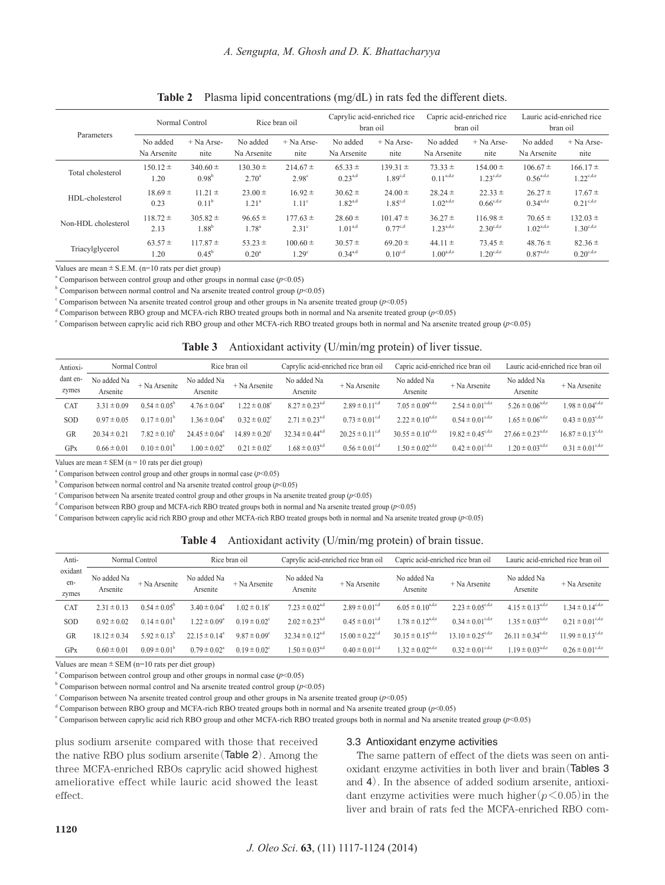| Parameters          | Normal Control |                | Rice bran oil     |                   | Caprylic acid-enriched rice<br>bran oil |              |                | Capric acid-enriched rice<br>bran oil |                                     | Lauric acid-enriched rice<br>bran oil |
|---------------------|----------------|----------------|-------------------|-------------------|-----------------------------------------|--------------|----------------|---------------------------------------|-------------------------------------|---------------------------------------|
|                     | No added       | $+$ Na Arse-   | No added          | $+$ Na Arse-      | No added                                | $+$ Na Arse- | No added       | $+$ Na Arse-                          | No added                            | $+$ Na Arse-                          |
|                     | Na Arsenite    | nite           | Na Arsenite       | nite              | Na Arsenite                             | nite         | Na Arsenite    | nite                                  | Na Arsenite                         | nite                                  |
| Total cholesterol   | $150.12 \pm$   | $340.60 \pm$   | $130.30 \pm$      | $214.67 \pm$      | $65.33 \pm$                             | $139.31 \pm$ | $73.33 \pm$    | $154.00 \pm$                          | $106.67 \pm$                        | $166.17 \pm$                          |
|                     | 1.20           | $0.98^{b}$     | $2.70^{\circ}$    | $2.98^\circ$      | $0.23^{a,d}$                            | $1.89^{c,d}$ | $0.11^{a,d,e}$ | $1.23^{\text{c,d,e}}$                 | $0.56^{\text{a.d,e}}$               | $1.22^{c,d,e}$                        |
| HDL-cholesterol     | $18.69 \pm$    | $11.21 \pm$    | $23.00 \pm$       | $16.92 \pm$       | $30.62 \pm$                             | $24.00 \pm$  | $28.24 \pm$    | $22.33 \pm$                           | $26.27 \pm$                         | $17.67 \pm$                           |
|                     | 0.23           | $0.11^{b}$     | 1.21 <sup>a</sup> | 1.11 <sup>c</sup> | $1.82^{a,d}$                            | $1.85^{c,d}$ | $1.02^{a,d,e}$ | $0.66^{c,d,e}$                        | $0.34^{\text{a},\text{d},\text{c}}$ | $0.21^{\text{c,d,e}}$                 |
| Non-HDL cholesterol | $118.72 \pm$   | $305.82 \pm$   | $96.65 \pm$       | $177.63 \pm$      | $28.60 \pm$                             | $101.47 \pm$ | $36.27 \pm$    | $116.98 \pm$                          | $70.65 \pm$                         | $132.03 \pm$                          |
|                     | 2.13           | $1.88^{b}$     | $1.78^{a}$        | $2.31^\circ$      | $1.01^{a,d}$                            | $0.77^{c,d}$ | $1.23^{a,d,e}$ | $2.30^{c,d,e}$                        | $1.02^{\text{a},\text{d},\text{e}}$ | $1.30^{\text{c},\text{d},\text{e}}$   |
| Triacylglycerol     | $63.57 \pm$    | $117.87 \pm$   | $53.23 \pm$       | $100.60 \pm$      | $30.57 \pm$                             | $69.20 \pm$  | $44.11 \pm$    | $73.45 \pm$                           | $48.76 \pm$                         | $82.36 \pm$                           |
|                     | 1.20           | $0.45^{\rm b}$ | $0.20^{\circ}$    | 1.29 <sup>c</sup> | $0.34^{\text{a,d}}$                     | $0.10^{c,d}$ | $1.00^{a,d,e}$ | $1.20^{c,d,e}$                        | $0.87^{\text{a},\text{d},\text{c}}$ | $0.20^{\text{c,d,e}}$                 |

**Table 2** Plasma lipid concentrations (mg/dL) in rats fed the different diets.

Values are mean  $\pm$  S.E.M. (n=10 rats per diet group)

 $^{\circ}$  Comparison between control group and other groups in normal case ( $p$ <0.05)

<sup>b</sup> Comparison between normal control and Na arsenite treated control group  $(p<0.05)$ 

 $\textdegree$  Comparison between Na arsenite treated control group and other groups in Na arsenite treated group ( $p$ <0.05)

d Comparison between RBO group and MCFA-rich RBO treated groups both in normal and Na arsenite treated group (*p*<0.05)

e Comparison between caprylic acid rich RBO group and other MCFA-rich RBO treated groups both in normal and Na arsenite treated group (*p*<0.05)

|  |  |  |  |  | Table 3 Antioxidant activity (U/min/mg protein) of liver tissue. |
|--|--|--|--|--|------------------------------------------------------------------|
|--|--|--|--|--|------------------------------------------------------------------|

| Antioxi-   | Normal Control   |                         |                          | Rice bran oil                | Caprylic acid-enriched rice bran oil |                               |                                   | Capric acid-enriched rice bran oil | Lauric acid-enriched rice bran oil |                                 |
|------------|------------------|-------------------------|--------------------------|------------------------------|--------------------------------------|-------------------------------|-----------------------------------|------------------------------------|------------------------------------|---------------------------------|
| dant en-   | No added Na      | + Na Arsenite           | No added Na              | $+$ Na Arsenite              | No added Na                          | $+$ Na Arsenite               | No added Na                       | $+$ Na Arsenite                    | No added Na                        | $+$ Na Arsenite                 |
| zymes      | Arsenite         |                         | Arsenite                 |                              | Arsenite                             |                               | Arsenite                          |                                    | Arsenite                           |                                 |
| <b>CAT</b> | $3.31 \pm 0.09$  | $0.54 \pm 0.05^{\circ}$ | $4.76 \pm 0.04^{\circ}$  | $1.22 \pm 0.08^{\circ}$      | $8.27 \pm 0.23^{a,d}$                | $2.89 \pm 0.11^{\text{c,d}}$  | $7.05 \pm 0.09^{\text{a,d,c}}$    | $2.54 \pm 0.01^{\text{c,d,e}}$     | $5.26 \pm 0.06^{\text{a,d,e}}$     | $1.98 \pm 0.04^{\text{c,d,e}}$  |
| SOD        | $0.97 \pm 0.05$  | $0.17 \pm 0.01^{\circ}$ | $.36 \pm 0.04^{\circ}$   | $0.32 \pm 0.02$ <sup>c</sup> | $2.71 \pm 0.23$ <sup>a.d</sup>       | $0.73 \pm 0.01^{\text{c,d}}$  | $2.22 \pm 0.10^{a,d,e}$           | $0.54 \pm 0.01^{\text{c,d,e}}$     | $1.65 \pm 0.06^{\text{a,d,c}}$     | $0.43 \pm 0.03^{\text{c,d,e}}$  |
| GR         | $20.34 \pm 0.21$ | $7.82 \pm 0.10^6$       | $24.45 \pm 0.04^{\circ}$ | $14.89 \pm 0.20^{\circ}$     | 32.34 $\pm$ 0.44 <sup>a,d</sup>      | $20.25 \pm 0.11^{\text{c,d}}$ | 30.55 $\pm$ 0.10 <sup>a,d,c</sup> | $19.82 \pm 0.45^{\text{c,d,e}}$    | $27.66 \pm 0.23^{\text{a,d,e}}$    | $16.87 \pm 0.13^{\text{c,d,e}}$ |
| GPx        | $0.66 \pm 0.01$  | $0.10 \pm 0.01^{\circ}$ | $1.00 \pm 0.02^a$        | $0.21 \pm 0.02^{\circ}$      | $1.68 \pm 0.03^{\text{a,d}}$         | $0.56 \pm 0.01^{\text{c,d}}$  | $1.50 \pm 0.02^{\text{a,d,e}}$    | $0.42 \pm 0.01^{\text{c,d,e}}$     | $20 \pm 0.03^{\text{a,d,e}}$       | $0.31 \pm 0.01^{\text{c,d,e}}$  |

Values are mean  $\pm$  SEM (n = 10 rats per diet group)

<sup>a</sup> Comparison between control group and other groups in normal case  $(p<0.05)$ 

<sup>b</sup> Comparison between normal control and Na arsenite treated control group  $(p<0.05)$ 

c Comparison between Na arsenite treated control group and other groups in Na arsenite treated group (*p*<0.05)

d Comparison between RBO group and MCFA-rich RBO treated groups both in normal and Na arsenite treated group (*p*<0.05)

e Comparison between caprylic acid rich RBO group and other MCFA-rich RBO treated groups both in normal and Na arsenite treated group (*p*<0.05)

# **Table 4** Antioxidant activity (U/min/mg protein) of brain tissue.

| Anti-                   |                         | Normal Control          |                          | Rice bran oil                |                                 | Caprylic acid-enriched rice bran oil | Capric acid-enriched rice bran oil |                                 |                                               | Lauric acid-enriched rice bran oil |
|-------------------------|-------------------------|-------------------------|--------------------------|------------------------------|---------------------------------|--------------------------------------|------------------------------------|---------------------------------|-----------------------------------------------|------------------------------------|
| oxidant<br>en-<br>zymes | No added Na<br>Arsenite | + Na Arsenite           | No added Na<br>Arsenite  | + Na Arsenite                | No added Na<br>Arsenite         | $+$ Na Arsenite                      | No added Na<br>Arsenite            | $+$ Na Arsenite                 | No added Na<br>Arsenite                       | $+$ Na Arsenite                    |
| CAT                     | $2.31 \pm 0.13$         | $0.54 \pm 0.05^{\circ}$ | $3.40 \pm 0.04^{\circ}$  | $1.02 \pm 0.18^{\circ}$      | $7.23 \pm 0.02^{\text{a,d}}$    | $2.89 \pm 0.01^{\text{c,d}}$         | $6.05 \pm 0.10^{a,d,e}$            | $2.23 \pm 0.05^{\text{c,d,e}}$  | $4.15 \pm 0.13^{\text{a},\text{d},\text{e}}$  | $1.34 \pm 0.14^{\circ,d,e}$        |
| <b>SOD</b>              | $0.92 \pm 0.02$         | $0.14 \pm 0.01^b$       | $1.22 \pm 0.09^a$        | $0.19 \pm 0.02$ <sup>c</sup> | $2.02 \pm 0.23^{a,d}$           | $0.45 \pm 0.01^{\text{c,d}}$         | $1.78 \pm 0.12^{\text{a,d,e}}$     | $0.34 \pm 0.01^{\text{c,d,e}}$  | $1.35 \pm 0.03^{\text{a},\text{d},\text{e}}$  | $0.21 \pm 0.01^{\text{c,d,e}}$     |
| <b>GR</b>               | $18.12 \pm 0.34$        | $5.92 \pm 0.13^b$       | $22.15 \pm 0.14^{\circ}$ | $9.87 \pm 0.09$ <sup>c</sup> | 32.34 $\pm$ 0.12 <sup>a,d</sup> | $15.00 \pm 0.22$ <sup>c,d</sup>      | 30.15 $\pm$ 0.15 <sup>a,d,c</sup>  | $13.10 \pm 0.25^{\text{c,d,e}}$ | $26.11 \pm 0.34^{\text{a},\text{d},\text{e}}$ | $11.99 \pm 0.13^{\text{c,d,e}}$    |
| <b>GPx</b>              | $0.60 \pm 0.01$         | $0.09 \pm 0.01^{\circ}$ | $0.79 \pm 0.02^{\circ}$  | $0.19 \pm 0.02$ <sup>c</sup> | $1.50 \pm 0.03^{\text{a,d}}$    | $0.40 \pm 0.01^{\text{c,d}}$         | $1.32 \pm 0.02^{\text{a,d,e}}$     | $0.32 \pm 0.01^{\text{c,d,e}}$  | $1.19 \pm 0.03^{\text{a,d,e}}$                | $0.26 \pm 0.01^{\text{c,d,e}}$     |

Values are mean  $\pm$  SEM (n=10 rats per diet group)

<sup>a</sup> Comparison between control group and other groups in normal case  $(p<0.05)$ 

<sup>b</sup> Comparison between normal control and Na arsenite treated control group  $(p<0.05)$ 

<sup>c</sup> Comparison between Na arsenite treated control group and other groups in Na arsenite treated group ( $p$ <0.05)

d Comparison between RBO group and MCFA-rich RBO treated groups both in normal and Na arsenite treated group (*p*<0.05)

e Comparison between caprylic acid rich RBO group and other MCFA-rich RBO treated groups both in normal and Na arsenite treated group (*p*<0.05)

plus sodium arsenite compared with those that received the native RBO plus sodium arsenite(Table 2). Among the three MCFA-enriched RBOs caprylic acid showed highest ameliorative effect while lauric acid showed the least effect.

# 3.3 Antioxidant enzyme activities

The same pattern of effect of the diets was seen on antioxidant enzyme activities in both liver and brain(Tables 3 and 4). In the absence of added sodium arsenite, antioxidant enzyme activities were much higher $(p<0.05)$  in the liver and brain of rats fed the MCFA-enriched RBO com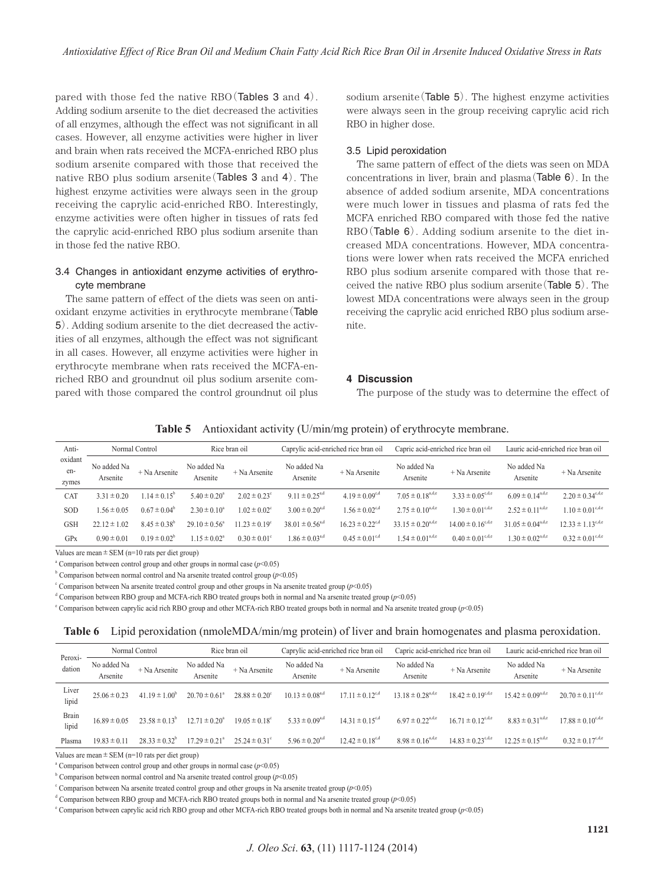pared with those fed the native RBO(Tables 3 and 4). Adding sodium arsenite to the diet decreased the activities of all enzymes, although the effect was not significant in all cases. However, all enzyme activities were higher in liver and brain when rats received the MCFA-enriched RBO plus sodium arsenite compared with those that received the native RBO plus sodium arsenite(Tables 3 and 4). The highest enzyme activities were always seen in the group receiving the caprylic acid-enriched RBO. Interestingly, enzyme activities were often higher in tissues of rats fed the caprylic acid-enriched RBO plus sodium arsenite than in those fed the native RBO.

# 3.4 Changes in antioxidant enzyme activities of erythrocyte membrane

The same pattern of effect of the diets was seen on antioxidant enzyme activities in erythrocyte membrane(Table 5). Adding sodium arsenite to the diet decreased the activities of all enzymes, although the effect was not significant in all cases. However, all enzyme activities were higher in erythrocyte membrane when rats received the MCFA-enriched RBO and groundnut oil plus sodium arsenite compared with those compared the control groundnut oil plus sodium arsenite(Table 5). The highest enzyme activities were always seen in the group receiving caprylic acid rich RBO in higher dose.

## 3.5 Lipid peroxidation

The same pattern of effect of the diets was seen on MDA concentrations in liver, brain and plasma(Table 6). In the absence of added sodium arsenite, MDA concentrations were much lower in tissues and plasma of rats fed the MCFA enriched RBO compared with those fed the native RBO(Table 6). Adding sodium arsenite to the diet increased MDA concentrations. However, MDA concentrations were lower when rats received the MCFA enriched RBO plus sodium arsenite compared with those that received the native RBO plus sodium arsenite(Table 5). The lowest MDA concentrations were always seen in the group receiving the caprylic acid enriched RBO plus sodium arsenite.

#### **4 Discussion**

The purpose of the study was to determine the effect of

| <b>Table 5</b> | Antioxidant activity (U/min/mg protein) of erythrocyte membrane. |  |  |
|----------------|------------------------------------------------------------------|--|--|
|                |                                                                  |  |  |

| Anti-                   | Normal Control          |                         | Rice bran oil            |                          | Caprylic acid-enriched rice bran oil |                                 |                                 | Capric acid-enriched rice bran oil | Lauric acid-enriched rice bran oil |                                |  |
|-------------------------|-------------------------|-------------------------|--------------------------|--------------------------|--------------------------------------|---------------------------------|---------------------------------|------------------------------------|------------------------------------|--------------------------------|--|
| oxidant<br>en-<br>zvmes | No added Na<br>Arsenite | + Na Arsenite           | No added Na<br>Arsenite  | + Na Arsenite            | No added Na<br>Arsenite              | $+$ Na Arsenite                 | No added Na<br>Arsenite         | + Na Arsenite                      | No added Na<br>Arsenite            | $+$ Na Arsenite                |  |
| <b>CAT</b>              | $3.31 \pm 0.20$         | $1.14 \pm 0.15^{\circ}$ | $5.40 \pm 0.20^{\circ}$  | $2.02 \pm 0.23^{\circ}$  | $9.11 \pm 0.25^{\text{a,d}}$         | $4.19 \pm 0.09^{c,d}$           | $7.05 \pm 0.18^{\text{a,d,e}}$  | $3.33 \pm 0.05^{\text{c,d,e}}$     | $6.09 \pm 0.14^{\text{a,d,e}}$     | $2.20 \pm 0.34^{\text{c,d,e}}$ |  |
| <b>SOD</b>              | $1.56 \pm 0.05$         | $0.67 \pm 0.04^{\circ}$ | $2.30 \pm 0.10^a$        | $1.02 \pm 0.02^{\circ}$  | 3.00 $\pm$ 0.20 <sup>a,d</sup>       | $1.56 \pm 0.02^{\text{c,d}}$    | $2.75 \pm 0.10^{a,d,e}$         | $1.30 \pm 0.01^{\text{c,d,e}}$     | $2.52 \pm 0.11^{\text{a,d,e}}$     | $1.10 \pm 0.01^{\text{c,d,e}}$ |  |
| <b>GSH</b>              | $22.12 \pm 1.02$        | $8.45 \pm 0.38^{\circ}$ | $29.10 \pm 0.56^{\circ}$ | $11.23 \pm 0.19^{\circ}$ | $38.01 \pm 0.56^{\text{a,d}}$        | $16.23 \pm 0.22$ <sup>c,d</sup> | $33.15 \pm 0.20^{\text{a,d,e}}$ | $14.00 \pm 0.16^{\text{c,d,e}}$    | 31.05 $\pm$ 0.04 <sup>a,d,c</sup>  | $12.33 \pm 1.13^{c,d,e}$       |  |
| <b>GPx</b>              | $0.90 \pm 0.01$         | $0.19 \pm 0.02^b$       | $1.15 \pm 0.02^{\circ}$  | $0.30 \pm 0.01^{\circ}$  | $.86 \pm 0.03^{\text{a,d}}$          | $0.45 \pm 0.01^{\text{c,d}}$    | $1.54 \pm 0.01^{\text{a,d,c}}$  | $0.40 \pm 0.01^{\text{c,d,e}}$     | $.30 \pm 0.02^{\text{a,d,e}}$      | $0.32 \pm 0.01^{\text{c,d,e}}$ |  |

Values are mean  $\pm$  SEM (n=10 rats per diet group)

<sup>a</sup> Comparison between control group and other groups in normal case  $(p<0.05)$ 

<sup>b</sup> Comparison between normal control and Na arsenite treated control group  $(p<0.05)$ 

Comparison between Na arsenite treated control group and other groups in Na arsenite treated group  $(p<0.05)$ 

d Comparison between RBO group and MCFA-rich RBO treated groups both in normal and Na arsenite treated group (*p*<0.05)

e Comparison between caprylic acid rich RBO group and other MCFA-rich RBO treated groups both in normal and Na arsenite treated group (*p*<0.05)

|  |  |  | Table 6 Lipid peroxidation (nmoleMDA/min/mg protein) of liver and brain homogenates and plasma peroxidation. |  |
|--|--|--|--------------------------------------------------------------------------------------------------------------|--|
|--|--|--|--------------------------------------------------------------------------------------------------------------|--|

| Peroxi-<br>dation | Normal Control          |                          |                          | Rice bran oil            | Caprylic acid-enriched rice bran oil |                               |                                   | Capric acid-enriched rice bran oil | Lauric acid-enriched rice bran oil |                                 |  |
|-------------------|-------------------------|--------------------------|--------------------------|--------------------------|--------------------------------------|-------------------------------|-----------------------------------|------------------------------------|------------------------------------|---------------------------------|--|
|                   | No added Na<br>Arsenite | + Na Arsenite            | No added Na<br>Arsenite  | $+$ Na Arsenite          | No added Na<br>Arsenite              | $+$ Na Arsenite               | No added Na<br>Arsenite           | $+$ Na Arsenite                    | No added Na<br>Arsenite            | + Na Arsenite                   |  |
| Liver<br>lipid    | $25.06 \pm 0.23$        | $41.19 \pm 1.00^{\circ}$ | $20.70 \pm 0.61^{\circ}$ | $28.88 \pm 0.20^{\circ}$ | $10.13 \pm 0.08^{\text{a,d}}$        | $17.11 \pm 0.12^{c,d}$        | $13.18 \pm 0.28$ <sup>a,d,c</sup> | $18.42 \pm 0.19^{\text{c,d,e}}$    | $15.42 \pm 0.09^{\text{a,d,e}}$    | $20.70 \pm 0.11^{\text{c,d,e}}$ |  |
| Brain<br>lipid    | $16.89 \pm 0.05$        | $23.58 \pm 0.13^b$       | $12.71 \pm 0.20^a$       | $19.05 \pm 0.18^{\circ}$ | $5.33 \pm 0.09^{a,d}$                | $14.31 \pm 0.15^{c,d}$        | $6.97 \pm 0.22^{\text{a,d,e}}$    | $16.71 \pm 0.12^{\text{c,d,e}}$    | $8.83 \pm 0.31^{\text{a,d,e}}$     | $17.88 \pm 0.10^{c,d,e}$        |  |
| Plasma            | $19.83 \pm 0.11$        | $28.33 \pm 0.32^b$       | $17.29 \pm 0.21^{\circ}$ | $25.24 \pm 0.31^{\circ}$ | $5.96 \pm 0.20^{\text{a,d}}$         | $12.42 \pm 0.18^{\text{c,d}}$ | $8.98 \pm 0.16^{\text{a,d,e}}$    | $14.83 \pm 0.23^{\text{c,d,e}}$    | $12.25 \pm 0.15^{\text{a,d,e}}$    | $0.32 \pm 0.17^{\text{c,d,e}}$  |  |

Values are mean  $\pm$  SEM (n=10 rats per diet group)

<sup>a</sup> Comparison between control group and other groups in normal case  $(p<0.05)$ 

<sup>b</sup> Comparison between normal control and Na arsenite treated control group  $(p<0.05)$ 

Comparison between Na arsenite treated control group and other groups in Na arsenite treated group  $(p<0.05)$ 

d Comparison between RBO group and MCFA-rich RBO treated groups both in normal and Na arsenite treated group (*p*<0.05)

e Comparison between caprylic acid rich RBO group and other MCFA-rich RBO treated groups both in normal and Na arsenite treated group (*p*<0.05)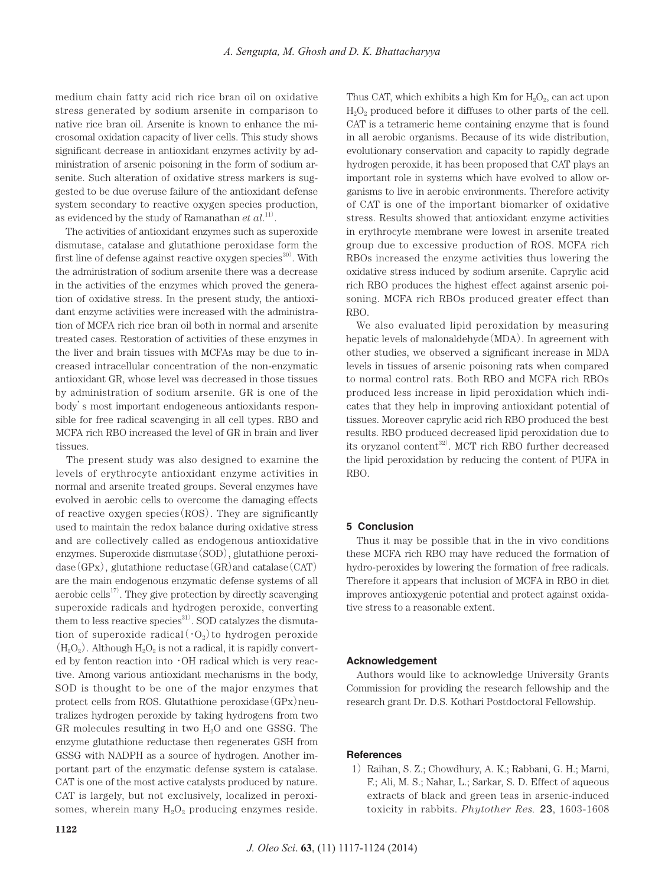medium chain fatty acid rich rice bran oil on oxidative stress generated by sodium arsenite in comparison to native rice bran oil. Arsenite is known to enhance the microsomal oxidation capacity of liver cells. This study shows significant decrease in antioxidant enzymes activity by administration of arsenic poisoning in the form of sodium arsenite. Such alteration of oxidative stress markers is suggested to be due overuse failure of the antioxidant defense system secondary to reactive oxygen species production, as evidenced by the study of Ramanathan  $et al.<sup>11</sup>$ .

The activities of antioxidant enzymes such as superoxide dismutase, catalase and glutathione peroxidase form the first line of defense against reactive oxygen species $^{30)}$ . With the administration of sodium arsenite there was a decrease in the activities of the enzymes which proved the generation of oxidative stress. In the present study, the antioxidant enzyme activities were increased with the administration of MCFA rich rice bran oil both in normal and arsenite treated cases. Restoration of activities of these enzymes in the liver and brain tissues with MCFAs may be due to increased intracellular concentration of the non-enzymatic antioxidant GR, whose level was decreased in those tissues by administration of sodium arsenite. GR is one of the body's most important endogeneous antioxidants responsible for free radical scavenging in all cell types. RBO and MCFA rich RBO increased the level of GR in brain and liver tissues.

The present study was also designed to examine the levels of erythrocyte antioxidant enzyme activities in normal and arsenite treated groups. Several enzymes have evolved in aerobic cells to overcome the damaging effects of reactive oxygen species(ROS). They are significantly used to maintain the redox balance during oxidative stress and are collectively called as endogenous antioxidative enzymes. Superoxide dismutase(SOD), glutathione peroxi $dase(GPx)$ , glutathione reductase  $(GR)$  and catalase  $(CAT)$ are the main endogenous enzymatic defense systems of all aerobic cells $^{17}$ . They give protection by directly scavenging superoxide radicals and hydrogen peroxide, converting them to less reactive species $^{31}$ . SOD catalyzes the dismutation of superoxide radical $(\cdot O_2)$ to hydrogen peroxide  $(H_2O_2)$ . Although  $H_2O_2$  is not a radical, it is rapidly converted by fenton reaction into ・OH radical which is very reactive. Among various antioxidant mechanisms in the body, SOD is thought to be one of the major enzymes that protect cells from ROS. Glutathione peroxidase  $(GPx)$ neutralizes hydrogen peroxide by taking hydrogens from two GR molecules resulting in two  $H_2O$  and one GSSG. The enzyme glutathione reductase then regenerates GSH from GSSG with NADPH as a source of hydrogen. Another important part of the enzymatic defense system is catalase. CAT is one of the most active catalysts produced by nature. CAT is largely, but not exclusively, localized in peroxisomes, wherein many  $H_2O_2$  producing enzymes reside.

Thus CAT, which exhibits a high  $Km$  for  $H_2O_2$ , can act upon  $H_2O_2$  produced before it diffuses to other parts of the cell. CAT is a tetrameric heme containing enzyme that is found in all aerobic organisms. Because of its wide distribution, evolutionary conservation and capacity to rapidly degrade hydrogen peroxide, it has been proposed that CAT plays an important role in systems which have evolved to allow organisms to live in aerobic environments. Therefore activity of CAT is one of the important biomarker of oxidative stress. Results showed that antioxidant enzyme activities in erythrocyte membrane were lowest in arsenite treated group due to excessive production of ROS. MCFA rich RBOs increased the enzyme activities thus lowering the oxidative stress induced by sodium arsenite. Caprylic acid rich RBO produces the highest effect against arsenic poisoning. MCFA rich RBOs produced greater effect than RBO.

We also evaluated lipid peroxidation by measuring hepatic levels of malonaldehyde(MDA). In agreement with other studies, we observed a significant increase in MDA levels in tissues of arsenic poisoning rats when compared to normal control rats. Both RBO and MCFA rich RBOs produced less increase in lipid peroxidation which indicates that they help in improving antioxidant potential of tissues. Moreover caprylic acid rich RBO produced the best results. RBO produced decreased lipid peroxidation due to its oryzanol content<sup>32)</sup>. MCT rich RBO further decreased the lipid peroxidation by reducing the content of PUFA in RBO.

#### **5 Conclusion**

Thus it may be possible that in the in vivo conditions these MCFA rich RBO may have reduced the formation of hydro-peroxides by lowering the formation of free radicals. Therefore it appears that inclusion of MCFA in RBO in diet improves antioxygenic potential and protect against oxidative stress to a reasonable extent.

## **Acknowledgement**

Authors would like to acknowledge University Grants Commission for providing the research fellowship and the research grant Dr. D.S. Kothari Postdoctoral Fellowship.

# **References**

1) Raihan, S. Z.; Chowdhury, A. K.; Rabbani, G. H.; Marni, F.; Ali, M. S.; Nahar, L.; Sarkar, S. D. Effect of aqueous extracts of black and green teas in arsenic-induced toxicity in rabbits. *Phytother Res.* 23, 1603-1608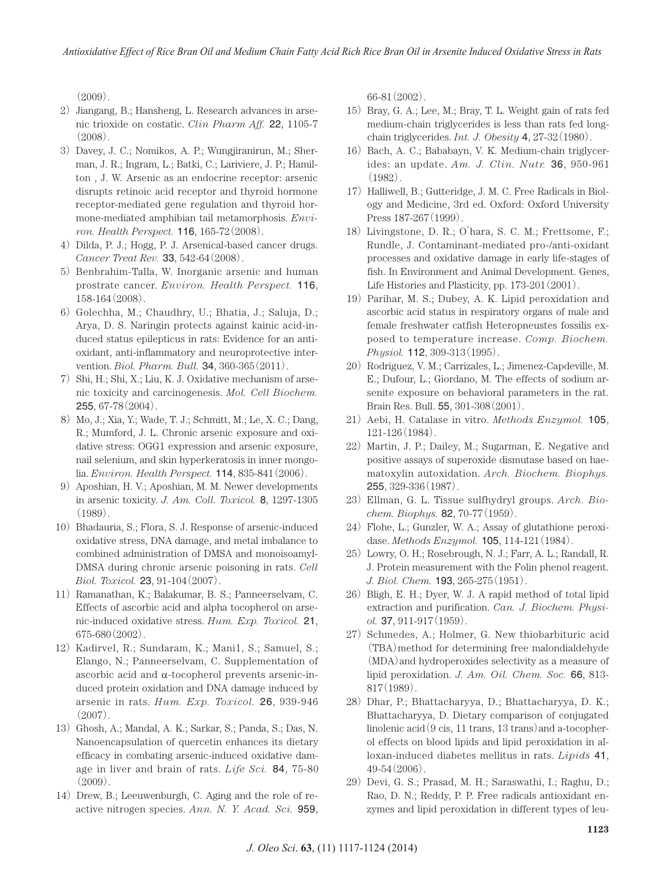$(2009)$ .

- 2) Jiangang, B.; Hansheng, L. Research advances in arsenic trioxide on costatic. *Clin Pharm Aff.* 22, 1105-7 (2008).
- 3) Davey, J. C.; Nomikos, A. P.; Wungjiranirun, M.; Sherman, J. R.; Ingram, L.; Batki, C.; Lariviere, J. P.; Hamilton , J. W. Arsenic as an endocrine receptor: arsenic disrupts retinoic acid receptor and thyroid hormone receptor-mediated gene regulation and thyroid hormone-mediated amphibian tail metamorphosis. *Environ. Health Perspect.* 116, 165-72(2008).
- 4) Dilda, P. J.; Hogg, P. J. Arsenical-based cancer drugs. *Cancer Treat Rev.* 33, 542-64(2008).
- 5) Benbrahim-Talla, W. Inorganic arsenic and human prostrate cancer. *Environ. Health Perspect.* 116, 158-164(2008).
- 6) Golechha, M.; Chaudhry, U.; Bhatia, J.; Saluja, D.; Arya, D. S. Naringin protects against kainic acid-induced status epilepticus in rats: Evidence for an antioxidant, anti-inflammatory and neuroprotective intervention. *Biol. Pharm. Bull.* 34, 360-365(2011).
- 7) Shi, H.; Shi, X.; Liu, K. J. Oxidative mechanism of arsenic toxicity and carcinogenesis. *Mol. Cell Biochem.*  255, 67-78(2004).
- 8) Mo, J.; Xia, Y.; Wade, T. J.; Schmitt, M.; Le, X. C.; Dang, R.; Mumford, J. L. Chronic arsenic exposure and oxidative stress: OGG1 expression and arsenic exposure, nail selenium, and skin hyperkeratosis in inner mongolia. *Environ. Health Perspect.* 114, 835-841(2006).
- 9) Aposhian, H. V.; Aposhian, M. M. Newer developments in arsenic toxicity. *J. Am. Coll. Toxicol.* 8, 1297-1305 (1989).
- 10) Bhadauria, S.; Flora, S. J. Response of arsenic-induced oxidative stress, DNA damage, and metal imbalance to combined administration of DMSA and monoisoamyl-DMSA during chronic arsenic poisoning in rats. *Cell Biol. Toxicol.* 23, 91-104(2007).
- 11) Ramanathan, K.; Balakumar, B. S.; Panneerselvam, C. Effects of ascorbic acid and alpha tocopherol on arsenic-induced oxidative stress. *Hum. Exp. Toxicol.* 21, 675-680(2002).
- 12) Kadirvel, R.; Sundaram, K.; Mani1, S.; Samuel, S.; Elango, N.; Panneerselvam, C. Supplementation of ascorbic acid and  $\alpha$ -tocopherol prevents arsenic-induced protein oxidation and DNA damage induced by arsenic in rats. *Hum. Exp. Toxicol.* 26, 939-946  $(2007)$ .
- 13) Ghosh, A.; Mandal, A. K.; Sarkar, S.; Panda, S.; Das, N. Nanoencapsulation of quercetin enhances its dietary efficacy in combating arsenic-induced oxidative damage in liver and brain of rats. *Life Sci.* 84, 75-80  $(2009)$ .
- 14) Drew, B.; Leeuwenburgh, C. Aging and the role of reactive nitrogen species. *Ann. N. Y. Acad. Sci.* 959,

66-81(2002).

- 15) Bray, G. A.; Lee, M.; Bray, T. L. Weight gain of rats fed medium-chain triglycerides is less than rats fed longchain triglycerides. *Int. J. Obesity* 4, 27-32(1980).
- 16) Bach, A. C.; Bababayn, V. K. Medium-chain triglycerides: an update. *Am. J. Clin. Nutr.* 36, 950-961 (1982).
- 17) Halliwell, B.; Gutteridge, J. M. C. Free Radicals in Biology and Medicine, 3rd ed. Oxford: Oxford University Press 187-267(1999).
- 18) Livingstone, D. R.; O'hara, S. C. M.; Frettsome, F.; Rundle, J. Contaminant-mediated pro-/anti-oxidant processes and oxidative damage in early life-stages of fish. In Environment and Animal Development. Genes, Life Histories and Plasticity, pp. 173-201(2001).
- 19) Parihar, M. S.; Dubey, A. K. Lipid peroxidation and ascorbic acid status in respiratory organs of male and female freshwater catfish Heteropneustes fossilis exposed to temperature increase. *Comp. Biochem. Physiol.* 112, 309-313(1995).
- 20) Rodriguez, V. M.; Carrizales, L.; Jimenez-Capdeville, M. E.; Dufour, L.; Giordano, M. The effects of sodium arsenite exposure on behavioral parameters in the rat. Brain Res. Bull. 55, 301-308(2001).
- 21) Aebi, H. Catalase in vitro. *Methods Enzymol.* 105, 121-126(1984).
- 22) Martin, J. P.; Dailey, M.; Sugarman, E. Negative and positive assays of superoxide dismutase based on haematoxylin autoxidation. *Arch. Biochem. Biophys.*  255, 329-336(1987).
- 23) Ellman, G. L. Tissue sulfhydryl groups. *Arch. Biochem. Biophys.* 82, 70-77(1959).
- 24) Flohe, L.; Gunzler, W. A.; Assay of glutathione peroxidase. *Methods Enzymol.* 105, 114-121(1984).
- 25) Lowry, O. H.; Rosebrough, N. J.; Farr, A. L.; Randall, R. J. Protein measurement with the Folin phenol reagent. *J. Biol. Chem.* 193, 265-275(1951).
- 26) Bligh, E. H.; Dyer, W. J. A rapid method of total lipid extraction and purification. *Can. J. Biochem. Physiol.* 37, 911-917(1959).
- 27) Schmedes, A.; Holmer, G. New thiobarbituric acid (TBA)method for determining free malondialdehyde (MDA)and hydroperoxides selectivity as a measure of lipid peroxidation. *J. Am. Oil. Chem. Soc.* 66, 813- 817(1989).
- 28) Dhar, P.; Bhattacharyya, D.; Bhattacharyya, D. K.; Bhattacharyya, D. Dietary comparison of conjugated linolenic acid  $(9 \text{ cis}, 11 \text{ trans}, 13 \text{ trans})$  and a-tocopherol effects on blood lipids and lipid peroxidation in alloxan-induced diabetes mellitus in rats. *Lipids* 41, 49-54(2006).
- 29) Devi, G. S.; Prasad, M. H.; Saraswathi, I.; Raghu, D.; Rao, D. N.; Reddy, P. P. Free radicals antioxidant enzymes and lipid peroxidation in different types of leu-